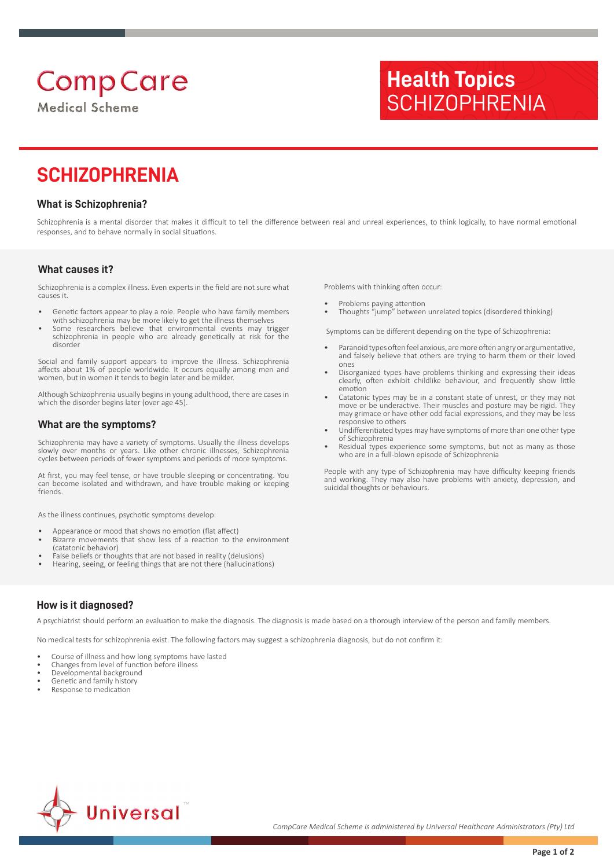# **Comp Care**

**Medical Scheme** 

# **Health Topics SCHIZOPHRENIA**

# **SCHIZOPHRENIA**

#### **What is Schizophrenia?**

Schizophrenia is a mental disorder that makes it difficult to tell the difference between real and unreal experiences, to think logically, to have normal emotional responses, and to behave normally in social situations.

#### **What causes it?**

Schizophrenia is a complex illness. Even experts in the field are not sure what causes it.

- Genetic factors appear to play a role. People who have family members with schizophrenia may be more likely to get the illness themselves
- Some researchers believe that environmental events may trigger schizophrenia in people who are already genetically at risk for the disorder

Social and family support appears to improve the illness. Schizophrenia affects about 1% of people worldwide. It occurs equally among men and women, but in women it tends to begin later and be milder.

Although Schizophrenia usually begins in young adulthood, there are cases in which the disorder begins later (over age 45).

#### **What are the symptoms?**

Schizophrenia may have a variety of symptoms. Usually the illness develops slowly over months or years. Like other chronic illnesses, Schizophrenia cycles between periods of fewer symptoms and periods of more symptoms.

At first, you may feel tense, or have trouble sleeping or concentrating. You can become isolated and withdrawn, and have trouble making or keeping friends.

As the illness continues, psychotic symptoms develop:

- Appearance or mood that shows no emotion (flat affect)
- Bizarre movements that show less of a reaction to the environment (catatonic behavior)
- False beliefs or thoughts that are not based in reality (delusions)
- Hearing, seeing, or feeling things that are not there (hallucinations)

Problems with thinking often occur:

- Problems paying attention
- Thoughts "jump" between unrelated topics (disordered thinking)

Symptoms can be different depending on the type of Schizophrenia:

- Paranoid types often feel anxious, are more often angry or argumentative, and falsely believe that others are trying to harm them or their loved ones
- Disorganized types have problems thinking and expressing their ideas clearly, often exhibit childlike behaviour, and frequently show little emotion
- Catatonic types may be in a constant state of unrest, or they may not move or be underactive. Their muscles and posture may be rigid. They may grimace or have other odd facial expressions, and they may be less responsive to others
- Undifferentiated types may have symptoms of more than one other type of Schizophrenia
- Residual types experience some symptoms, but not as many as those who are in a full-blown episode of Schizophrenia

People with any type of Schizophrenia may have difficulty keeping friends and working. They may also have problems with anxiety, depression, and suicidal thoughts or behaviours.

### **How is it diagnosed?**

A psychiatrist should perform an evaluation to make the diagnosis. The diagnosis is made based on a thorough interview of the person and family members.

No medical tests for schizophrenia exist. The following factors may suggest a schizophrenia diagnosis, but do not confirm it:

- Course of illness and how long symptoms have lasted
- Changes from level of function before illness
- Developmental background Genetic and family history
- Response to medication